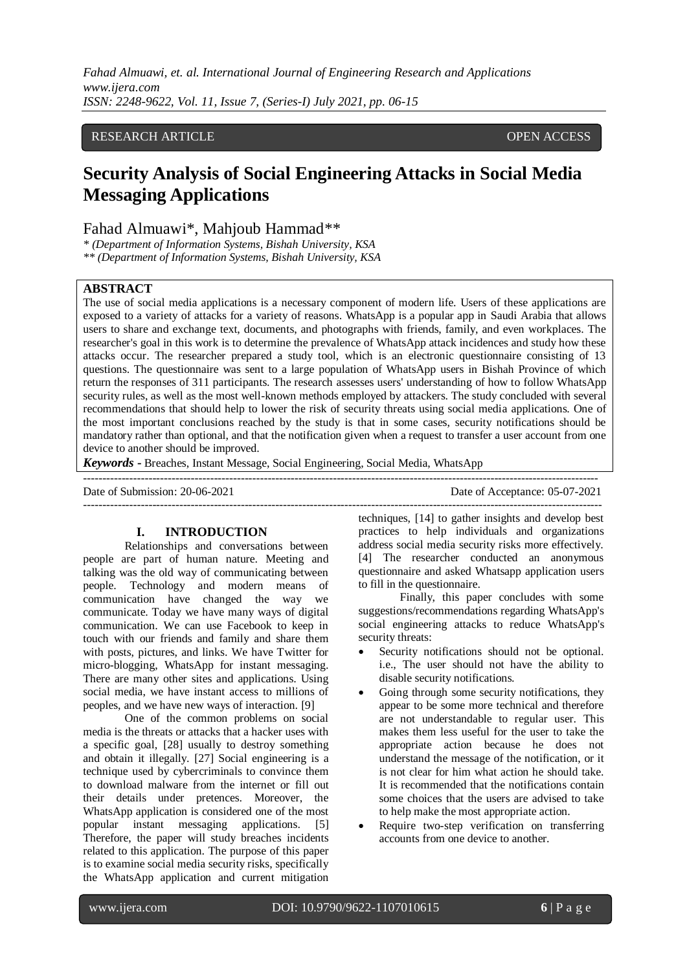# RESEARCH ARTICLE **CONSERVERS** OPEN ACCESS

# **Security Analysis of Social Engineering Attacks in Social Media Messaging Applications**

Fahad Almuawi\*, Mahjoub Hammad\*\*

*\* (Department of Information Systems, Bishah University, KSA* 

*\*\* (Department of Information Systems, Bishah University, KSA* 

## **ABSTRACT**

The use of social media applications is a necessary component of modern life. Users of these applications are exposed to a variety of attacks for a variety of reasons. WhatsApp is a popular app in Saudi Arabia that allows users to share and exchange text, documents, and photographs with friends, family, and even workplaces. The researcher's goal in this work is to determine the prevalence of WhatsApp attack incidences and study how these attacks occur. The researcher prepared a study tool, which is an electronic questionnaire consisting of 13 questions. The questionnaire was sent to a large population of WhatsApp users in Bishah Province of which return the responses of 311 participants. The research assesses users' understanding of how to follow WhatsApp security rules, as well as the most well-known methods employed by attackers. The study concluded with several recommendations that should help to lower the risk of security threats using social media applications. One of the most important conclusions reached by the study is that in some cases, security notifications should be mandatory rather than optional, and that the notification given when a request to transfer a user account from one device to another should be improved.

---------------------------------------------------------------------------------------------------------------------------------------

*Keywords* **-** Breaches, Instant Message, Social Engineering, Social Media, WhatsApp

Date of Submission: 20-06-2021 Date of Acceptance: 05-07-2021

--------------------------------------------------------------------------------------------------------------------------------------

#### **I. INTRODUCTION**

Relationships and conversations between people are part of human nature. Meeting and talking was the old way of communicating between people. Technology and modern means of communication have changed the way we communicate. Today we have many ways of digital communication. We can use Facebook to keep in touch with our friends and family and share them with posts, pictures, and links. We have Twitter for micro-blogging, WhatsApp for instant messaging. There are many other sites and applications. Using social media, we have instant access to millions of peoples, and we have new ways of interaction. [9]

One of the common problems on social media is the threats or attacks that a hacker uses with a specific goal, [28] usually to destroy something and obtain it illegally. [27] Social engineering is a technique used by cybercriminals to convince them to download malware from the internet or fill out their details under pretences. Moreover, the WhatsApp application is considered one of the most popular instant messaging applications. [5] Therefore, the paper will study breaches incidents related to this application. The purpose of this paper is to examine social media security risks, specifically the WhatsApp application and current mitigation

techniques, [14] to gather insights and develop best practices to help individuals and organizations address social media security risks more effectively. [4] The researcher conducted an anonymous questionnaire and asked Whatsapp application users to fill in the questionnaire.

Finally, this paper concludes with some suggestions/recommendations regarding WhatsApp's social engineering attacks to reduce WhatsApp's security threats:

- Security notifications should not be optional. i.e., The user should not have the ability to disable security notifications.
- Going through some security notifications, they appear to be some more technical and therefore are not understandable to regular user. This makes them less useful for the user to take the appropriate action because he does not understand the message of the notification, or it is not clear for him what action he should take. It is recommended that the notifications contain some choices that the users are advised to take to help make the most appropriate action.
- Require two-step verification on transferring accounts from one device to another.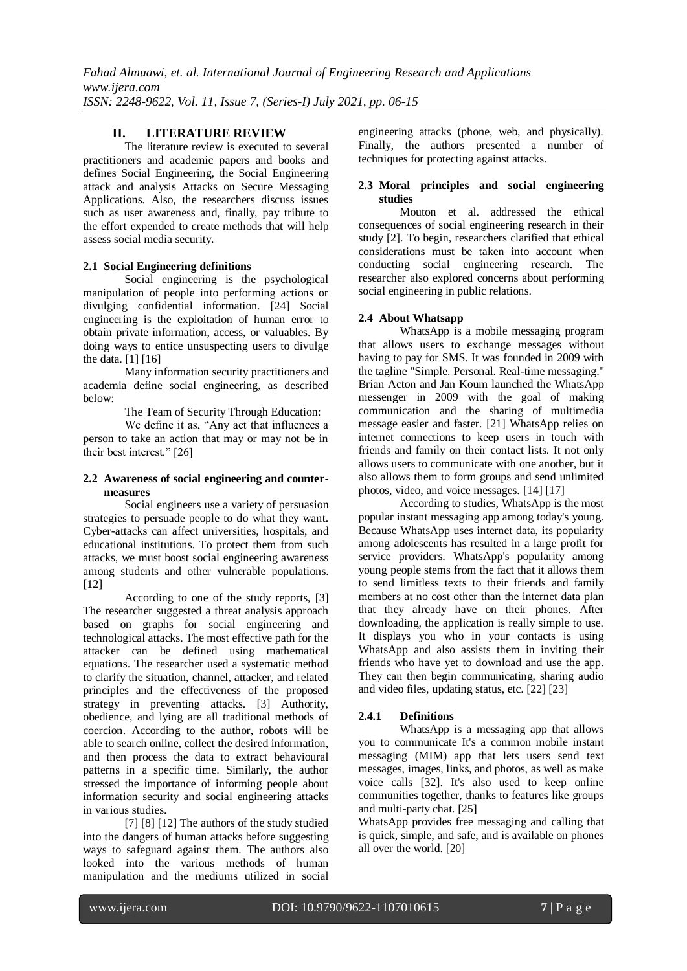# **II. LITERATURE REVIEW**

The literature review is executed to several practitioners and academic papers and books and defines Social Engineering, the Social Engineering attack and analysis Attacks on Secure Messaging Applications. Also, the researchers discuss issues such as user awareness and, finally, pay tribute to the effort expended to create methods that will help assess social media security.

#### **2.1 Social Engineering definitions**

Social engineering is the psychological manipulation of people into performing actions or divulging confidential information. [24] Social engineering is the exploitation of human error to obtain private information, access, or valuables. By doing ways to entice unsuspecting users to divulge the data. [1] [16]

Many information security practitioners and academia define social engineering, as described below:

The Team of Security Through Education:

We define it as, "Any act that influences a person to take an action that may or may not be in their best interest." [26]

#### **2.2 Awareness of social engineering and countermeasures**

Social engineers use a variety of persuasion strategies to persuade people to do what they want. Cyber-attacks can affect universities, hospitals, and educational institutions. To protect them from such attacks, we must boost social engineering awareness among students and other vulnerable populations. [12]

According to one of the study reports, [3] The researcher suggested a threat analysis approach based on graphs for social engineering and technological attacks. The most effective path for the attacker can be defined using mathematical equations. The researcher used a systematic method to clarify the situation, channel, attacker, and related principles and the effectiveness of the proposed strategy in preventing attacks. [3] Authority, obedience, and lying are all traditional methods of coercion. According to the author, robots will be able to search online, collect the desired information, and then process the data to extract behavioural patterns in a specific time. Similarly, the author stressed the importance of informing people about information security and social engineering attacks in various studies.

[7] [8] [12] The authors of the study studied into the dangers of human attacks before suggesting ways to safeguard against them. The authors also looked into the various methods of human manipulation and the mediums utilized in social engineering attacks (phone, web, and physically). Finally, the authors presented a number of techniques for protecting against attacks.

## **2.3 Moral principles and social engineering studies**

Mouton et al. addressed the ethical consequences of social engineering research in their study [2]. To begin, researchers clarified that ethical considerations must be taken into account when conducting social engineering research. The researcher also explored concerns about performing social engineering in public relations.

#### **2.4 About Whatsapp**

WhatsApp is a mobile messaging program that allows users to exchange messages without having to pay for SMS. It was founded in 2009 with the tagline "Simple. Personal. Real-time messaging." Brian Acton and Jan Koum launched the WhatsApp messenger in 2009 with the goal of making communication and the sharing of multimedia message easier and faster. [21] WhatsApp relies on internet connections to keep users in touch with friends and family on their contact lists. It not only allows users to communicate with one another, but it also allows them to form groups and send unlimited photos, video, and voice messages. [14] [17]

According to studies, WhatsApp is the most popular instant messaging app among today's young. Because WhatsApp uses internet data, its popularity among adolescents has resulted in a large profit for service providers. WhatsApp's popularity among young people stems from the fact that it allows them to send limitless texts to their friends and family members at no cost other than the internet data plan that they already have on their phones. After downloading, the application is really simple to use. It displays you who in your contacts is using WhatsApp and also assists them in inviting their friends who have yet to download and use the app. They can then begin communicating, sharing audio and video files, updating status, etc. [22] [23]

#### **2.4.1 Definitions**

WhatsApp is a messaging app that allows you to communicate It's a common mobile instant messaging (MIM) app that lets users send text messages, images, links, and photos, as well as make voice calls [32]. It's also used to keep online communities together, thanks to features like groups and multi-party chat. [25]

WhatsApp provides free messaging and calling that is quick, simple, and safe, and is available on phones all over the world. [20]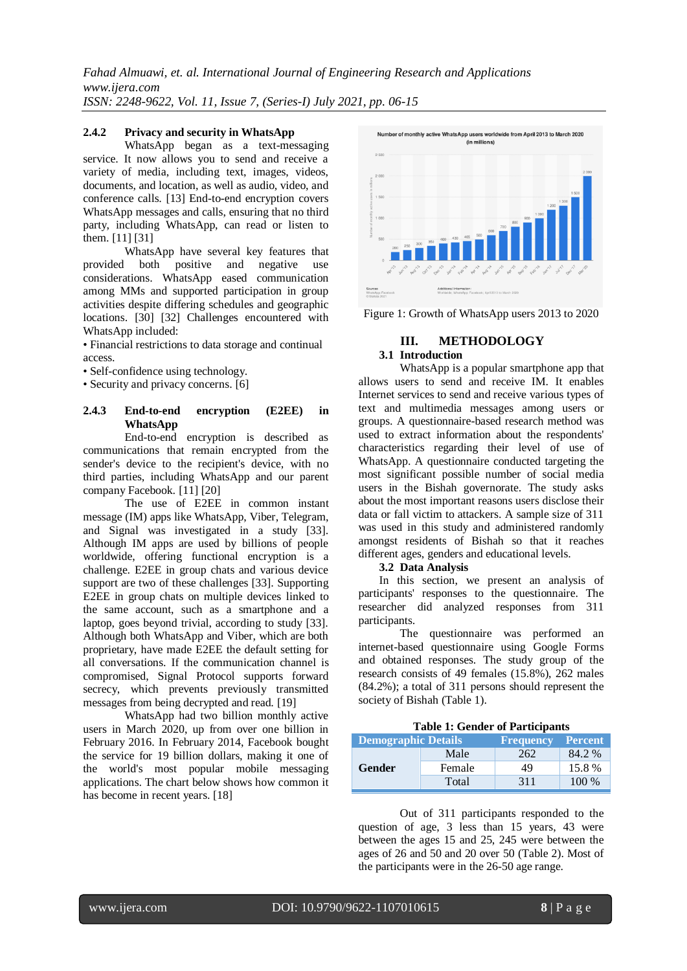#### **2.4.2 Privacy and security in WhatsApp**

WhatsApp began as a text-messaging service. It now allows you to send and receive a variety of media, including text, images, videos, documents, and location, as well as audio, video, and conference calls. [13] End-to-end encryption covers WhatsApp messages and calls, ensuring that no third party, including WhatsApp, can read or listen to them. [11] [31]

WhatsApp have several key features that provided both positive and negative use considerations. WhatsApp eased communication among MMs and supported participation in group activities despite differing schedules and geographic locations. [30] [32] Challenges encountered with WhatsApp included:

• Financial restrictions to data storage and continual access.

• Self-confidence using technology.

• Security and privacy concerns. [6]

#### **2.4.3 End-to-end encryption (E2EE) in WhatsApp**

End-to-end encryption is described as communications that remain encrypted from the sender's device to the recipient's device, with no third parties, including WhatsApp and our parent company Facebook. [11] [20]

The use of E2EE in common instant message (IM) apps like WhatsApp, Viber, Telegram, and Signal was investigated in a study [33]. Although IM apps are used by billions of people worldwide, offering functional encryption is a challenge. E2EE in group chats and various device support are two of these challenges [33]. Supporting E2EE in group chats on multiple devices linked to the same account, such as a smartphone and a laptop, goes beyond trivial, according to study [33]. Although both WhatsApp and Viber, which are both proprietary, have made E2EE the default setting for all conversations. If the communication channel is compromised, Signal Protocol supports forward secrecy, which prevents previously transmitted messages from being decrypted and read. [19]

WhatsApp had two billion monthly active users in March 2020, up from over one billion in February 2016. In February 2014, Facebook bought the service for 19 billion dollars, making it one of the world's most popular mobile messaging applications. The chart below shows how common it has become in recent years. [18]



Figure 1: Growth of WhatsApp users 2013 to 2020

#### **III. METHODOLOGY 3.1 Introduction**

WhatsApp is a popular smartphone app that allows users to send and receive IM. It enables Internet services to send and receive various types of text and multimedia messages among users or groups. A questionnaire-based research method was used to extract information about the respondents' characteristics regarding their level of use of WhatsApp. A questionnaire conducted targeting the most significant possible number of social media users in the Bishah governorate. The study asks about the most important reasons users disclose their data or fall victim to attackers. A sample size of 311 was used in this study and administered randomly amongst residents of Bishah so that it reaches different ages, genders and educational levels.

#### **3.2 Data Analysis**

In this section, we present an analysis of participants' responses to the questionnaire. The researcher did analyzed responses from 311 participants.

The questionnaire was performed an internet-based questionnaire using Google Forms and obtained responses. The study group of the research consists of 49 females (15.8%), 262 males (84.2%); a total of 311 persons should represent the society of Bishah (Table 1).

|  |  | <b>Table 1: Gender of Participants</b> |  |
|--|--|----------------------------------------|--|
|--|--|----------------------------------------|--|

| <b>Demographic Details</b> |        | <b>Frequency</b> | <b>Percent</b> |
|----------------------------|--------|------------------|----------------|
| <b>Gender</b>              | Male   | 262              | 84.2 %         |
|                            | Female | 49               | 15.8%          |
|                            | Total  | 311              | 100 %          |

Out of 311 participants responded to the question of age, 3 less than 15 years, 43 were between the ages 15 and 25, 245 were between the ages of 26 and 50 and 20 over 50 (Table 2). Most of the participants were in the 26-50 age range.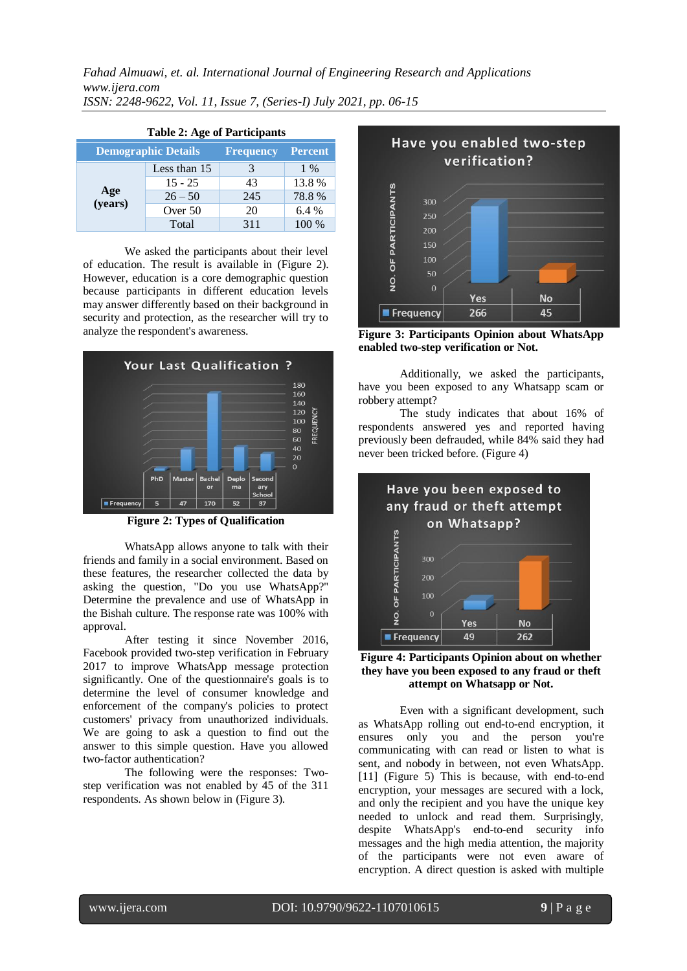| Table 2: Age of Participality                                    |              |     |       |  |  |  |
|------------------------------------------------------------------|--------------|-----|-------|--|--|--|
| <b>Demographic Details</b><br><b>Percent</b><br><b>Frequency</b> |              |     |       |  |  |  |
| Age<br>(years)                                                   | Less than 15 | 3   | $1\%$ |  |  |  |
|                                                                  | $15 - 25$    | 43  | 13.8% |  |  |  |
|                                                                  | $26 - 50$    | 245 | 78.8% |  |  |  |
|                                                                  | Over 50      | 20  | 6.4 % |  |  |  |
|                                                                  | Total        | 311 | 100 % |  |  |  |

# **Table 2: Age of Participants**

We asked the participants about their level of education. The result is available in (Figure 2). However, education is a core demographic question because participants in different education levels may answer differently based on their background in security and protection, as the researcher will try to analyze the respondent's awareness.



**Figure 2: Types of Qualification**

WhatsApp allows anyone to talk with their friends and family in a social environment. Based on these features, the researcher collected the data by asking the question, "Do you use WhatsApp?" Determine the prevalence and use of WhatsApp in the Bishah culture. The response rate was 100% with approval.

After testing it since November 2016, Facebook provided two-step verification in February 2017 to improve WhatsApp message protection significantly. One of the questionnaire's goals is to determine the level of consumer knowledge and enforcement of the company's policies to protect customers' privacy from unauthorized individuals. We are going to ask a question to find out the answer to this simple question. Have you allowed two-factor authentication?

The following were the responses: Twostep verification was not enabled by 45 of the 311 respondents. As shown below in (Figure 3).



**Figure 3: Participants Opinion about WhatsApp enabled two-step verification or Not.**

Additionally, we asked the participants, have you been exposed to any Whatsapp scam or robbery attempt?

The study indicates that about 16% of respondents answered yes and reported having previously been defrauded, while 84% said they had never been tricked before. (Figure 4)





Even with a significant development, such as WhatsApp rolling out end-to-end encryption, it ensures only you and the person you're communicating with can read or listen to what is sent, and nobody in between, not even WhatsApp. [11] (Figure 5) This is because, with end-to-end encryption, your messages are secured with a lock, and only the recipient and you have the unique key needed to unlock and read them. Surprisingly, despite WhatsApp's end-to-end security info messages and the high media attention, the majority of the participants were not even aware of encryption. A direct question is asked with multiple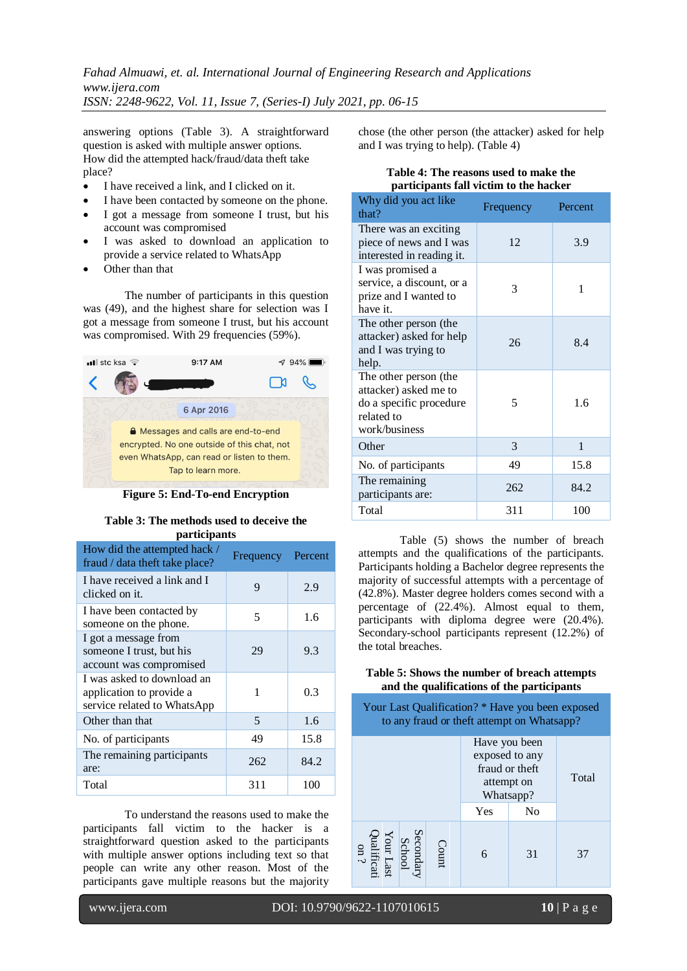answering options (Table 3). A straightforward question is asked with multiple answer options. How did the attempted hack/fraud/data theft take place?

- I have received a link, and I clicked on it.
- I have been contacted by someone on the phone.
- I got a message from someone I trust, but his account was compromised
- I was asked to download an application to provide a service related to WhatsApp
- Other than that

The number of participants in this question was (49), and the highest share for selection was I got a message from someone I trust, but his account was compromised. With 29 frequencies (59%).



**Figure 5: End-To-end Encryption**

**Table 3: The methods used to deceive the** 

| <i>participants</i>                                                                   |           |         |  |  |  |  |  |
|---------------------------------------------------------------------------------------|-----------|---------|--|--|--|--|--|
| How did the attempted hack /<br>fraud / data theft take place?                        | Frequency | Percent |  |  |  |  |  |
| I have received a link and I<br>clicked on it.                                        | 9         | 2.9     |  |  |  |  |  |
| I have been contacted by<br>someone on the phone.                                     | 5         | 1.6     |  |  |  |  |  |
| I got a message from<br>someone I trust, but his<br>account was compromised           | 29        | 9.3     |  |  |  |  |  |
| I was asked to download an<br>application to provide a<br>service related to WhatsApp | 1         | 0.3     |  |  |  |  |  |
| Other than that                                                                       | 5         | 1.6     |  |  |  |  |  |
| No. of participants                                                                   | 49        | 15.8    |  |  |  |  |  |
| The remaining participants<br>are:                                                    | 262       | 84.2    |  |  |  |  |  |
| Total                                                                                 | 311       | 100     |  |  |  |  |  |

To understand the reasons used to make the participants fall victim to the hacker is a straightforward question asked to the participants with multiple answer options including text so that people can write any other reason. Most of the participants gave multiple reasons but the majority

chose (the other person (the attacker) asked for help and I was trying to help). (Table 4)

# **Table 4: The reasons used to make the participants fall victim to the hacker**

| Why did you act like<br>that?                                                                            | Frequency | Percent |
|----------------------------------------------------------------------------------------------------------|-----------|---------|
| There was an exciting<br>piece of news and I was<br>interested in reading it.                            | 12        | 3.9     |
| I was promised a<br>service, a discount, or a<br>prize and I wanted to<br>have it.                       | 3         | 1       |
| The other person (the<br>attacker) asked for help<br>and I was trying to<br>help.                        | 26        | 8.4     |
| The other person (the<br>attacker) asked me to<br>do a specific procedure<br>related to<br>work/business | 5         | 1.6     |
| Other                                                                                                    | 3         | 1       |
| No. of participants                                                                                      | 49        | 15.8    |
| The remaining<br>participants are:                                                                       | 262       | 84.2    |
| Total                                                                                                    | 311       | 100     |

Table (5) shows the number of breach attempts and the qualifications of the participants. Participants holding a Bachelor degree represents the majority of successful attempts with a percentage of (42.8%). Master degree holders comes second with a percentage of (22.4%). Almost equal to them, participants with diploma degree were (20.4%). Secondary-school participants represent (12.2%) of the total breaches.

#### **Table 5: Shows the number of breach attempts and the qualifications of the participants**

| Your Last Qualification? * Have you been exposed<br>to any fraud or theft attempt on Whatsapp? |  |       |                                                                              |                |       |  |  |
|------------------------------------------------------------------------------------------------|--|-------|------------------------------------------------------------------------------|----------------|-------|--|--|
|                                                                                                |  |       | Have you been<br>exposed to any<br>fraud or theft<br>attempt on<br>Whatsapp? |                | Total |  |  |
|                                                                                                |  |       | Yes                                                                          | N <sub>0</sub> |       |  |  |
| Secondary<br>School<br>Vour Last<br>Qualificati<br>on ?<br>on ?                                |  | Count |                                                                              | 31             | 37    |  |  |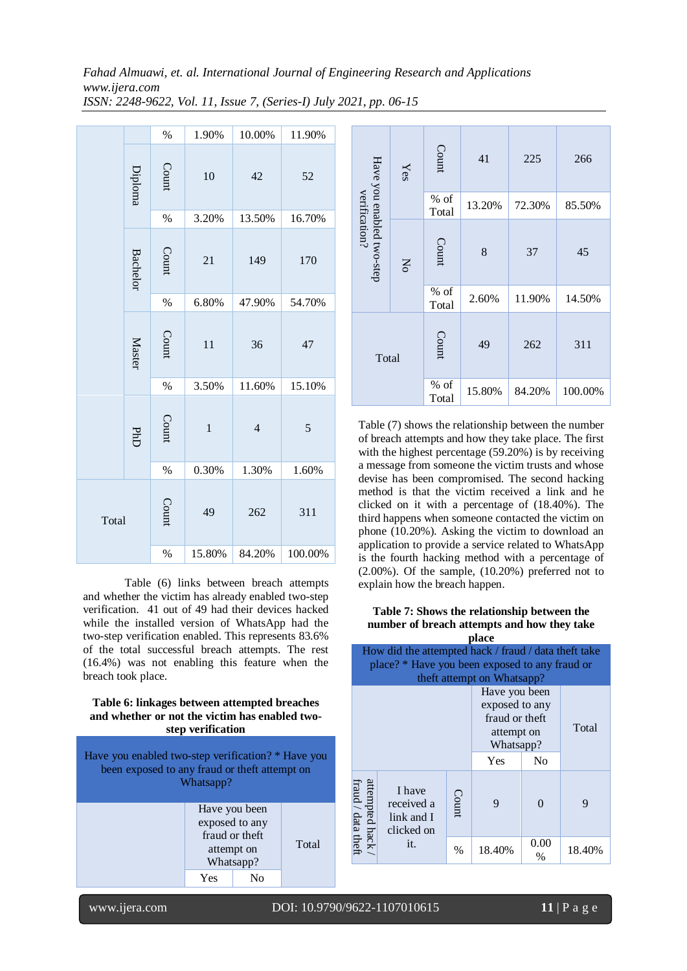| Fahad Almuawi, et. al. International Journal of Engineering Research and Applications |
|---------------------------------------------------------------------------------------|
| www.ijera.com                                                                         |
| ISSN: 2248-9622, Vol. 11, Issue 7, (Series-I) July 2021, pp. 06-15                    |

|       |                 | $\%$  | 1.90%  | 10.00%         | 11.90%  |
|-------|-----------------|-------|--------|----------------|---------|
|       | Diploma         | Count | 10     | 42             | 52      |
|       |                 | %     | 3.20%  | 13.50%         | 16.70%  |
|       | <b>Bachelor</b> | Count | 21     | 149            | 170     |
|       |                 | %     | 6.80%  | 47.90%         | 54.70%  |
|       | <b>Master</b>   | Count | 11     | 36             | 47      |
|       |                 | %     | 3.50%  | 11.60%         | 15.10%  |
|       | PHD             | Count | $\,1$  | $\overline{4}$ | 5       |
|       |                 | %     | 0.30%  | 1.30%          | 1.60%   |
| Total |                 | Count | 49     | 262            | 311     |
|       |                 | %     | 15.80% | 84.20%         | 100.00% |

Table (6) links between breach attempts and whether the victim has already enabled two-step verification. 41 out of 49 had their devices hacked while the installed version of WhatsApp had the two-step verification enabled. This represents 83.6% of the total successful breach attempts. The rest (16.4%) was not enabling this feature when the breach took place.

#### **Table 6: linkages between attempted breaches and whether or not the victim has enabled twostep verification**

| Have you enabled two-step verification? * Have you<br>been exposed to any fraud or theft attempt on<br>Whatsapp? |     |  |  |  |  |
|------------------------------------------------------------------------------------------------------------------|-----|--|--|--|--|
| Have you been<br>exposed to any<br>fraud or theft<br>Total<br>attempt on<br>Whatsapp?                            |     |  |  |  |  |
|                                                                                                                  | Yes |  |  |  |  |

|                                            | Yes         | Count           | 41     | 225    | 266     |
|--------------------------------------------|-------------|-----------------|--------|--------|---------|
|                                            |             | % of<br>Total   | 13.20% | 72.30% | 85.50%  |
| Have you enabled two-step<br>verification? | $\rm _{NO}$ | Count           | 8      | 37     | 45      |
|                                            |             | $%$ of<br>Total | 2.60%  | 11.90% | 14.50%  |
| Total                                      |             | Count           | 49     | 262    | 311     |
|                                            |             | $%$ of<br>Total | 15.80% | 84.20% | 100.00% |

Table (7) shows the relationship between the number of breach attempts and how they take place. The first with the highest percentage  $(59.20\%)$  is by receiving a message from someone the victim trusts and whose devise has been compromised. The second hacking method is that the victim received a link and he clicked on it with a percentage of (18.40%). The third happens when someone contacted the victim on phone (10.20%). Asking the victim to download an application to provide a service related to WhatsApp is the fourth hacking method with a percentage of (2.00%). Of the sample, (10.20%) preferred not to explain how the breach happen.

#### **Table 7: Shows the relationship between the number of breach attempts and how they take place**

|                                                                              |                                                                                                                                      |      | piace  |              |        |  |
|------------------------------------------------------------------------------|--------------------------------------------------------------------------------------------------------------------------------------|------|--------|--------------|--------|--|
|                                                                              | How did the attempted hack / fraud / data theft take<br>place? * Have you been exposed to any fraud or<br>theft attempt on Whatsapp? |      |        |              |        |  |
| Have you been<br>exposed to any<br>fraud or theft<br>attempt on<br>Whatsapp? |                                                                                                                                      |      |        |              | Total  |  |
|                                                                              |                                                                                                                                      |      | Yes    | No           |        |  |
| attempted hack /<br>fraud / data theft                                       | I have<br>Count<br>received a<br>link and I<br>clicked on                                                                            |      | 9      | $\mathbf{0}$ | 9      |  |
| it.                                                                          |                                                                                                                                      | $\%$ | 18.40% | 0.00<br>$\%$ | 18.40% |  |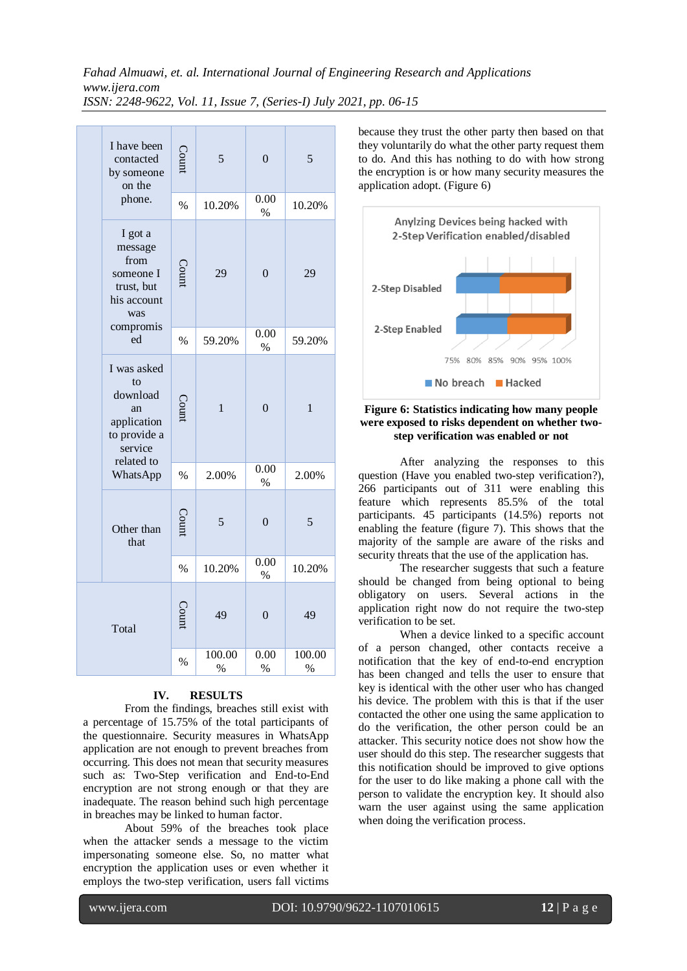|       | I have been<br>contacted<br>by someone<br>on the                                                                                        | Count         | 5              | $\mathbf{0}$   | 5                       |
|-------|-----------------------------------------------------------------------------------------------------------------------------------------|---------------|----------------|----------------|-------------------------|
|       | phone.                                                                                                                                  | $\%$          | 10.20%         | 0.00<br>$\%$   | 10.20%                  |
|       | I got a<br>message<br>from<br>someone I<br>trust, but<br>his account<br>was                                                             | Count         | 29             | $\overline{0}$ | 29                      |
|       | compromis<br>ed                                                                                                                         | $\frac{0}{0}$ | 59.20%         | 0.00<br>$\%$   | 59.20%                  |
|       | I was asked<br>$f_{\Omega}$<br>download<br>an<br>application<br>to provide a<br>service<br>related to<br>WhatsApp<br>Other than<br>that | Count         | $\mathbf{1}$   | $\overline{0}$ | $\mathbf{1}$            |
|       |                                                                                                                                         | $\%$          | 2.00%          | 0.00<br>$\%$   | 2.00%                   |
|       |                                                                                                                                         | Count         | 5              | $\theta$       | 5                       |
|       |                                                                                                                                         | $\%$          | 10.20%         | 0.00<br>$\%$   | 10.20%                  |
| Total |                                                                                                                                         | Count         | 49             | $\overline{0}$ | 49                      |
|       |                                                                                                                                         | $\%$          | 100.00<br>$\%$ | 0.00<br>$\%$   | 100.00<br>$\frac{0}{0}$ |

#### **IV. RESULTS**

From the findings, breaches still exist with a percentage of 15.75% of the total participants of the questionnaire. Security measures in WhatsApp application are not enough to prevent breaches from occurring. This does not mean that security measures such as: Two-Step verification and End-to-End encryption are not strong enough or that they are inadequate. The reason behind such high percentage in breaches may be linked to human factor.

About 59% of the breaches took place when the attacker sends a message to the victim impersonating someone else. So, no matter what encryption the application uses or even whether it employs the two-step verification, users fall victims

because they trust the other party then based on that they voluntarily do what the other party request them to do. And this has nothing to do with how strong the encryption is or how many security measures the application adopt. (Figure 6)



#### **Figure 6: Statistics indicating how many people were exposed to risks dependent on whether twostep verification was enabled or not**

After analyzing the responses to this question (Have you enabled two-step verification?), 266 participants out of 311 were enabling this feature which represents 85.5% of the total participants. 45 participants (14.5%) reports not enabling the feature (figure 7). This shows that the majority of the sample are aware of the risks and security threats that the use of the application has.

The researcher suggests that such a feature should be changed from being optional to being obligatory on users. Several actions in the application right now do not require the two-step verification to be set.

When a device linked to a specific account of a person changed, other contacts receive a notification that the key of end-to-end encryption has been changed and tells the user to ensure that key is identical with the other user who has changed his device. The problem with this is that if the user contacted the other one using the same application to do the verification, the other person could be an attacker. This security notice does not show how the user should do this step. The researcher suggests that this notification should be improved to give options for the user to do like making a phone call with the person to validate the encryption key. It should also warn the user against using the same application when doing the verification process.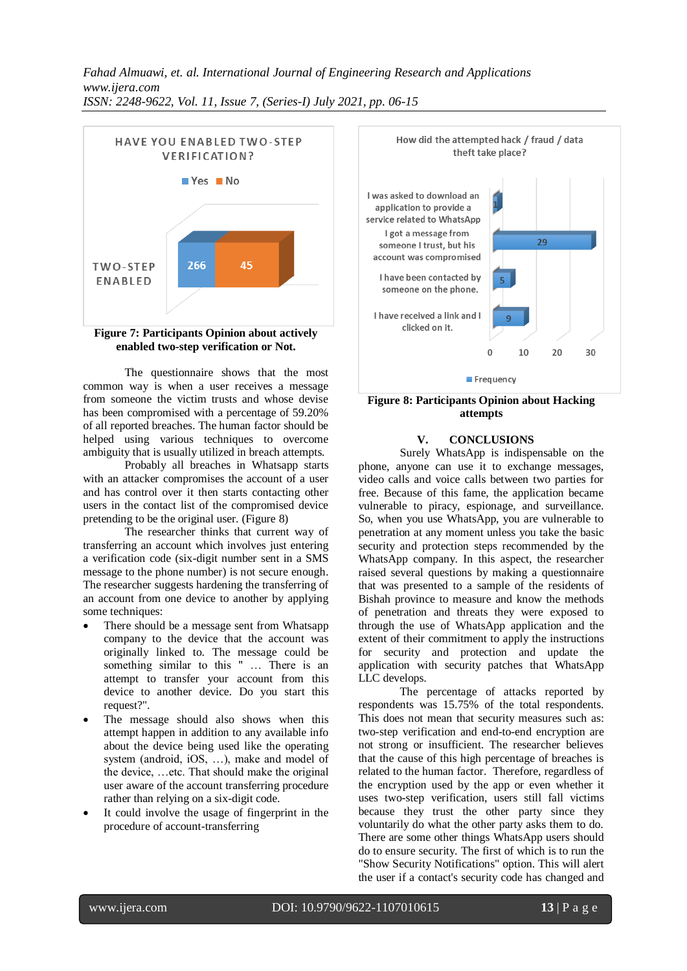



The questionnaire shows that the most common way is when a user receives a message from someone the victim trusts and whose devise has been compromised with a percentage of 59.20% of all reported breaches. The human factor should be helped using various techniques to overcome ambiguity that is usually utilized in breach attempts.

Probably all breaches in Whatsapp starts with an attacker compromises the account of a user and has control over it then starts contacting other users in the contact list of the compromised device pretending to be the original user. (Figure 8)

The researcher thinks that current way of transferring an account which involves just entering a verification code (six-digit number sent in a SMS message to the phone number) is not secure enough. The researcher suggests hardening the transferring of an account from one device to another by applying some techniques:

- There should be a message sent from Whatsapp company to the device that the account was originally linked to. The message could be something similar to this " ... There is an attempt to transfer your account from this device to another device. Do you start this request?".
- The message should also shows when this attempt happen in addition to any available info about the device being used like the operating system (android, iOS, …), make and model of the device, …etc. That should make the original user aware of the account transferring procedure rather than relying on a six-digit code.
- It could involve the usage of fingerprint in the procedure of account-transferring



**Figure 8: Participants Opinion about Hacking attempts**

#### **V. CONCLUSIONS**

Surely WhatsApp is indispensable on the phone, anyone can use it to exchange messages, video calls and voice calls between two parties for free. Because of this fame, the application became vulnerable to piracy, espionage, and surveillance. So, when you use WhatsApp, you are vulnerable to penetration at any moment unless you take the basic security and protection steps recommended by the WhatsApp company. In this aspect, the researcher raised several questions by making a questionnaire that was presented to a sample of the residents of Bishah province to measure and know the methods of penetration and threats they were exposed to through the use of WhatsApp application and the extent of their commitment to apply the instructions for security and protection and update the application with security patches that WhatsApp LLC develops.

The percentage of attacks reported by respondents was 15.75% of the total respondents. This does not mean that security measures such as: two-step verification and end-to-end encryption are not strong or insufficient. The researcher believes that the cause of this high percentage of breaches is related to the human factor. Therefore, regardless of the encryption used by the app or even whether it uses two-step verification, users still fall victims because they trust the other party since they voluntarily do what the other party asks them to do. There are some other things WhatsApp users should do to ensure security. The first of which is to run the "Show Security Notifications" option. This will alert the user if a contact's security code has changed and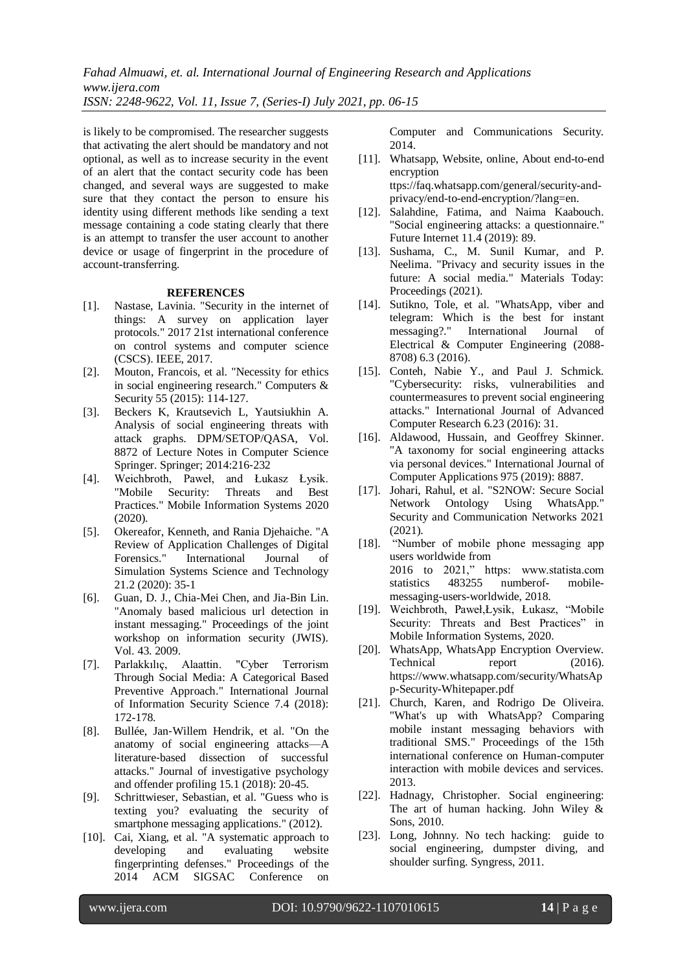is likely to be compromised. The researcher suggests that activating the alert should be mandatory and not optional, as well as to increase security in the event of an alert that the contact security code has been changed, and several ways are suggested to make sure that they contact the person to ensure his identity using different methods like sending a text message containing a code stating clearly that there is an attempt to transfer the user account to another device or usage of fingerprint in the procedure of account-transferring.

#### **REFERENCES**

- [1]. Nastase, Lavinia. "Security in the internet of things: A survey on application layer protocols." 2017 21st international conference on control systems and computer science (CSCS). IEEE, 2017.
- [2]. Mouton, Francois, et al. "Necessity for ethics in social engineering research." Computers & Security 55 (2015): 114-127.
- [3]. Beckers K, Krautsevich L, Yautsiukhin A. Analysis of social engineering threats with attack graphs. DPM/SETOP/QASA, Vol. 8872 of Lecture Notes in Computer Science Springer. Springer; 2014:216‐232
- [4]. Weichbroth, Paweł, and Łukasz Łysik. "Mobile Security: Threats and Best Practices." Mobile Information Systems 2020 (2020).
- [5]. Okereafor, Kenneth, and Rania Djehaiche. "A Review of Application Challenges of Digital Forensics." International Journal of Simulation Systems Science and Technology 21.2 (2020): 35-1
- [6]. Guan, D. J., Chia-Mei Chen, and Jia-Bin Lin. "Anomaly based malicious url detection in instant messaging." Proceedings of the joint workshop on information security (JWIS). Vol. 43. 2009.
- [7]. Parlakkılıç, Alaattin. "Cyber Terrorism Through Social Media: A Categorical Based Preventive Approach." International Journal of Information Security Science 7.4 (2018): 172-178.
- [8]. Bullée, Jan‐Willem Hendrik, et al. "On the anatomy of social engineering attacks—A literature‐based dissection of successful attacks." Journal of investigative psychology and offender profiling 15.1 (2018): 20-45.
- [9]. Schrittwieser, Sebastian, et al. "Guess who is texting you? evaluating the security of smartphone messaging applications." (2012).
- [10]. Cai, Xiang, et al. "A systematic approach to developing and evaluating website fingerprinting defenses." Proceedings of the 2014 ACM SIGSAC Conference on

Computer and Communications Security. 2014.

- [11]. Whatsapp, Website, online, About end-to-end encryption ttps://faq.whatsapp.com/general/security-andprivacy/end-to-end-encryption/?lang=en.
- [12]. Salahdine, Fatima, and Naima Kaabouch. "Social engineering attacks: a questionnaire." Future Internet 11.4 (2019): 89.
- [13]. Sushama, C., M. Sunil Kumar, and P. Neelima. "Privacy and security issues in the future: A social media." Materials Today: Proceedings (2021).
- [14]. Sutikno, Tole, et al. "WhatsApp, viber and telegram: Which is the best for instant messaging?." International Journal of Electrical & Computer Engineering (2088- 8708) 6.3 (2016).
- [15]. Conteh, Nabie Y., and Paul J. Schmick. "Cybersecurity: risks, vulnerabilities and countermeasures to prevent social engineering attacks." International Journal of Advanced Computer Research 6.23 (2016): 31.
- [16]. Aldawood, Hussain, and Geoffrey Skinner. "A taxonomy for social engineering attacks via personal devices." International Journal of Computer Applications 975 (2019): 8887.
- [17]. Johari, Rahul, et al. "S2NOW: Secure Social Network Ontology Using WhatsApp." Security and Communication Networks 2021 (2021).
- [18]. "Number of mobile phone messaging app users worldwide from 2016 to 2021," https: www.statista.com statistics 483255 numberof- mobilemessaging-users-worldwide, 2018.
- [19]. Weichbroth, Paweł,Łysik, Łukasz, "Mobile Security: Threats and Best Practices" in Mobile Information Systems, 2020.
- [20]. WhatsApp, WhatsApp Encryption Overview. Technical report (2016). https://www.whatsapp.com/security/WhatsAp p-Security-Whitepaper.pdf
- [21]. Church, Karen, and Rodrigo De Oliveira. "What's up with WhatsApp? Comparing mobile instant messaging behaviors with traditional SMS." Proceedings of the 15th international conference on Human-computer interaction with mobile devices and services. 2013.
- [22]. Hadnagy, Christopher. Social engineering: The art of human hacking. John Wiley & Sons, 2010.
- [23]. Long, Johnny. No tech hacking: guide to social engineering, dumpster diving, and shoulder surfing. Syngress, 2011.